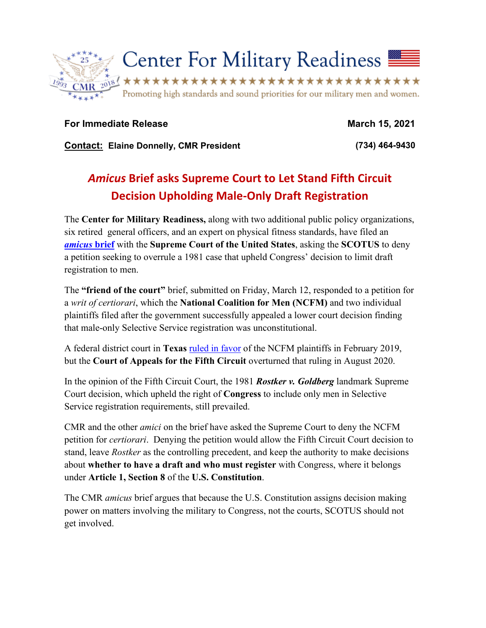

**For Immediate Release March 15, 2021**

**Contact: Elaine Donnelly, CMR President (734) 464-9430**

## *Amicus* **Brief asks Supreme Court to Let Stand Fifth Circuit Decision Upholding Male-Only Draft Registration**

The **Center for Military Readiness,** along with two additional public policy organizations, six retired general officers, and an expert on physical fitness standards, have filed an *[amicus](https://www.supremecourt.gov/DocketPDF/20/20-928/171771/20210312131225830_20-928%20CMR%20brief.pdf)* **brief** with the **Supreme Court of the United States**, asking the **SCOTUS** to deny a petition seeking to overrule a 1981 case that upheld Congress' decision to limit draft registration to men.

The **"friend of the court"** brief, submitted on Friday, March 12, responded to a petition for a *writ of certiorari*, which the **National Coalition for Men (NCFM)** and two individual plaintiffs filed after the government successfully appealed a lower court decision finding that male-only Selective Service registration was unconstitutional.

A federal district court in **Texas** [ruled in favor](https://www.cmrlink.org/issues/full/court-order-to-draft-our-daughters-caused-by-congressional-indifference) of the NCFM plaintiffs in February 2019, but the **Court of Appeals for the Fifth Circuit** overturned that ruling in August 2020.

In the opinion of the Fifth Circuit Court, the 1981 *Rostker v. Goldberg* landmark Supreme Court decision, which upheld the right of **Congress** to include only men in Selective Service registration requirements, still prevailed.

CMR and the other *amici* on the brief have asked the Supreme Court to deny the NCFM petition for *certiorari*. Denying the petition would allow the Fifth Circuit Court decision to stand, leave *Rostker* as the controlling precedent, and keep the authority to make decisions about **whether to have a draft and who must register** with Congress, where it belongs under **Article 1, Section 8** of the **U.S. Constitution**.

The CMR *amicus* brief argues that because the U.S. Constitution assigns decision making power on matters involving the military to Congress, not the courts, SCOTUS should not get involved.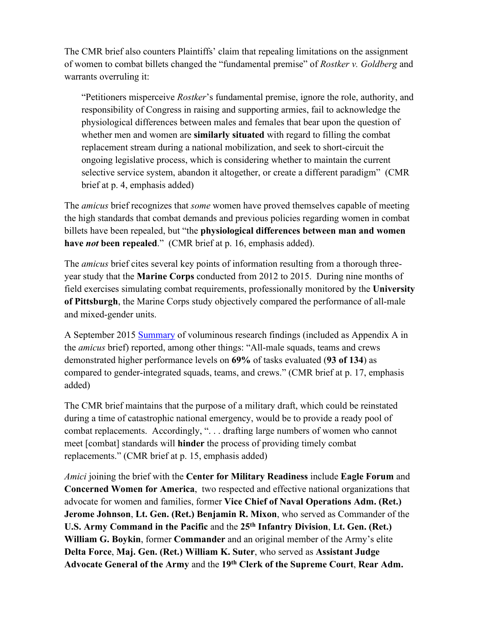The CMR brief also counters Plaintiffs' claim that repealing limitations on the assignment of women to combat billets changed the "fundamental premise" of *Rostker v. Goldberg* and warrants overruling it:

"Petitioners misperceive *Rostker*'s fundamental premise, ignore the role, authority, and responsibility of Congress in raising and supporting armies, fail to acknowledge the physiological differences between males and females that bear upon the question of whether men and women are **similarly situated** with regard to filling the combat replacement stream during a national mobilization, and seek to short-circuit the ongoing legislative process, which is considering whether to maintain the current selective service system, abandon it altogether, or create a different paradigm" (CMR brief at p. 4, emphasis added)

The *amicus* brief recognizes that *some* women have proved themselves capable of meeting the high standards that combat demands and previous policies regarding women in combat billets have been repealed, but "the **physiological differences between man and women have** *not* **been repealed**."(CMR brief at p. 16, emphasis added).

The *amicus* brief cites several key points of information resulting from a thorough threeyear study that the **Marine Corps** conducted from 2012 to 2015. During nine months of field exercises simulating combat requirements, professionally monitored by the **University of Pittsburgh**, the Marine Corps study objectively compared the performance of all-male and mixed-gender units.

A September 2015 [Summary](https://cmrlink.org/data/sites/85/CMRDocuments/USMCSept.10fourPGSummaryWISRR.pdf) of voluminous research findings (included as Appendix A in the *amicus* brief) reported, among other things: "All-male squads, teams and crews demonstrated higher performance levels on **69%** of tasks evaluated (**93 of 134**) as compared to gender-integrated squads, teams, and crews." (CMR brief at p. 17, emphasis added)

The CMR brief maintains that the purpose of a military draft, which could be reinstated during a time of catastrophic national emergency, would be to provide a ready pool of combat replacements. Accordingly, ". . . drafting large numbers of women who cannot meet [combat] standards will **hinder** the process of providing timely combat replacements." (CMR brief at p. 15, emphasis added)

*Amici* joining the brief with the **Center for Military Readiness** include **Eagle Forum** and **Concerned Women for America**, two respected and effective national organizations that advocate for women and families, former **Vice Chief of Naval Operations Adm. (Ret.) Jerome Johnson**, **Lt. Gen. (Ret.) Benjamin R. Mixon**, who served as Commander of the **U.S. Army Command in the Pacific** and the **25th Infantry Division**, **Lt. Gen. (Ret.) William G. Boykin**, former **Commander** and an original member of the Army's elite **Delta Force**, **Maj. Gen. (Ret.) William K. Suter**, who served as **Assistant Judge Advocate General of the Army** and the **19th Clerk of the Supreme Court**, **Rear Adm.**